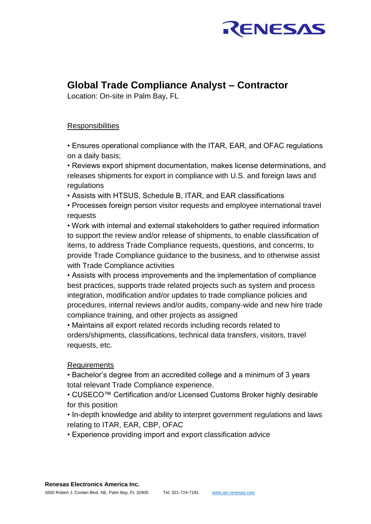

## **Global Trade Compliance Analyst – Contractor**

Location: On-site in Palm Bay, FL

## **Responsibilities**

• Ensures operational compliance with the ITAR, EAR, and OFAC regulations on a daily basis;

• Reviews export shipment documentation, makes license determinations, and releases shipments for export in compliance with U.S. and foreign laws and regulations

• Assists with HTSUS, Schedule B, ITAR, and EAR classifications

• Processes foreign person visitor requests and employee international travel requests

• Work with internal and external stakeholders to gather required information to support the review and/or release of shipments, to enable classification of items, to address Trade Compliance requests, questions, and concerns, to provide Trade Compliance guidance to the business, and to otherwise assist with Trade Compliance activities

• Assists with process improvements and the implementation of compliance best practices, supports trade related projects such as system and process integration, modification and/or updates to trade compliance policies and procedures, internal reviews and/or audits, company-wide and new hire trade compliance training, and other projects as assigned

• Maintains all export related records including records related to orders/shipments, classifications, technical data transfers, visitors, travel requests, etc.

## Requirements

• Bachelor's degree from an accredited college and a minimum of 3 years total relevant Trade Compliance experience.

• CUSECO™ Certification and/or Licensed Customs Broker highly desirable for this position

• In-depth knowledge and ability to interpret government regulations and laws relating to ITAR, EAR, CBP, OFAC

• Experience providing import and export classification advice